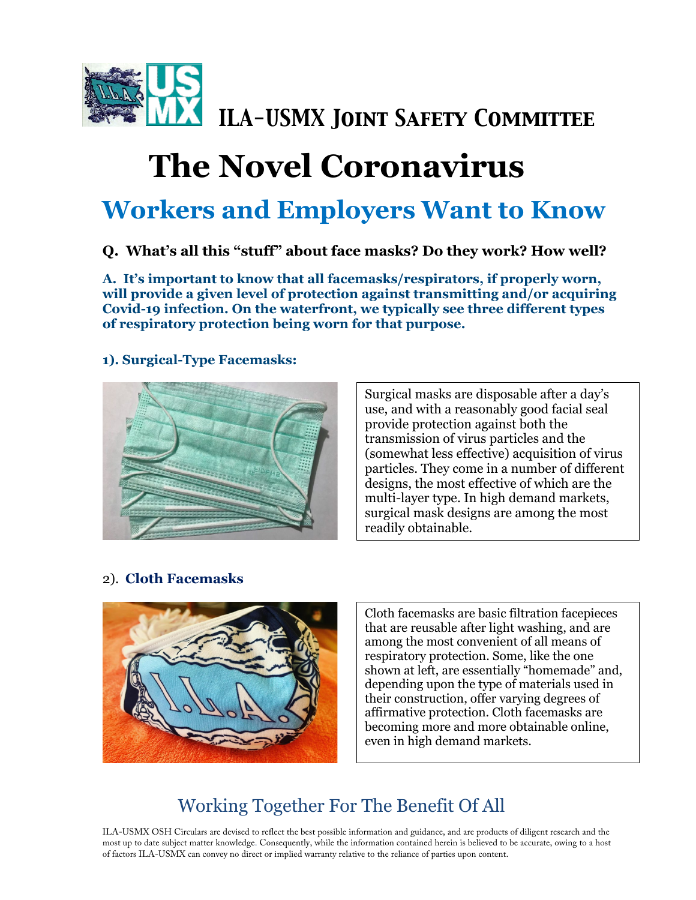

# **The Novel Coronavirus**

## **Workers and Employers Want to Know**

#### **Q. What's all this "stuff" about face masks? Do they work? How well?**

**A. It's important to know that all facemasks/respirators, if properly worn, will provide a given level of protection against transmitting and/or acquiring Covid-19 infection. On the waterfront, we typically see three different types of respiratory protection being worn for that purpose.**

#### **1). Surgical-Type Facemasks:**



Surgical masks are disposable after a day's use, and with a reasonably good facial seal provide protection against both the transmission of virus particles and the (somewhat less effective) acquisition of virus particles. They come in a number of different designs, the most effective of which are the multi-layer type. In high demand markets, surgical mask designs are among the most readily obtainable.

#### 2). **Cloth Facemasks**



Cloth facemasks are basic filtration facepieces that are reusable after light washing, and are among the most convenient of all means of respiratory protection. Some, like the one shown at left, are essentially "homemade" and, depending upon the type of materials used in their construction, offer varying degrees of affirmative protection. Cloth facemasks are becoming more and more obtainable online, even in high demand markets.

### Working Together For The Benefit Of All

ILA-USMX OSH Circulars are devised to reflect the best possible information and guidance, and are products of diligent research and the most up to date subject matter knowledge. Consequently, while the information contained herein is believed to be accurate, owing to a host of factors ILA-USMX can convey no direct or implied warranty relative to the reliance of parties upon content.